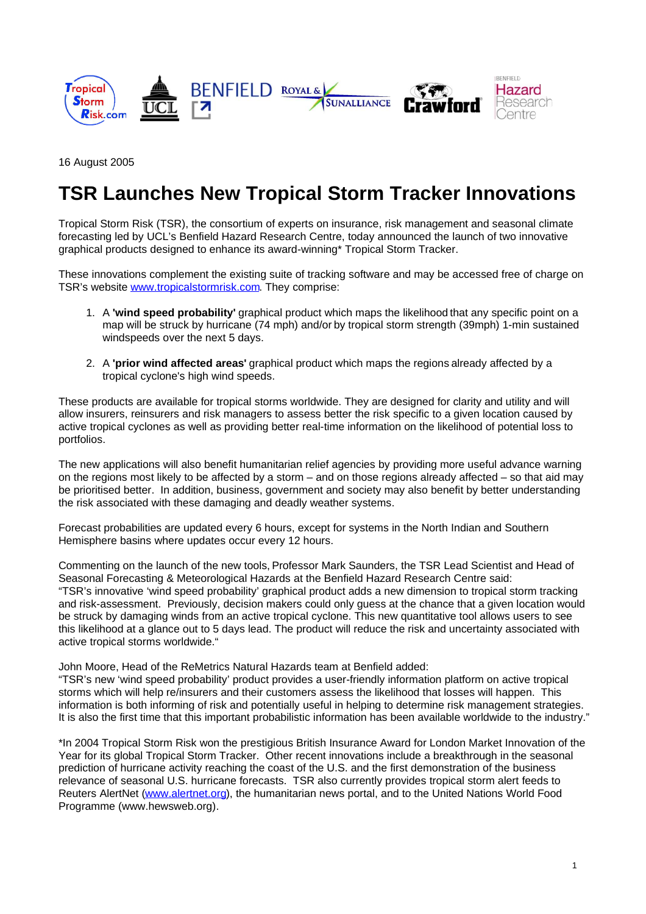

16 August 2005

# **TSR Launches New Tropical Storm Tracker Innovations**

Tropical Storm Risk (TSR), the consortium of experts on insurance, risk management and seasonal climate forecasting led by UCL's Benfield Hazard Research Centre, today announced the launch of two innovative graphical products designed to enhance its award-winning\* Tropical Storm Tracker.

These innovations complement the existing suite of tracking software and may be accessed free of charge on TSR's website www.tropicalstormrisk.com. They comprise:

- 1. A **'wind speed probability'** graphical product which maps the likelihoodthat any specific point on a map will be struck by hurricane (74 mph) and/or by tropical storm strength (39mph) 1-min sustained windspeeds over the next 5 days.
- 2. A **'prior wind affected areas'** graphical product which maps the regionsalready affected by a tropical cyclone's high wind speeds.

These products are available for tropical storms worldwide. They are designed for clarity and utility and will allow insurers, reinsurers and risk managers to assess better the risk specific to a given location caused by active tropical cyclones as well as providing better real-time information on the likelihood of potential loss to portfolios.

The new applications will also benefit humanitarian relief agencies by providing more useful advance warning on the regions most likely to be affected by a storm – and on those regions already affected – so that aid may be prioritised better. In addition, business, government and society may also benefit by better understanding the risk associated with these damaging and deadly weather systems.

Forecast probabilities are updated every 6 hours, except for systems in the North Indian and Southern Hemisphere basins where updates occur every 12 hours.

Commenting on the launch of the new tools, Professor Mark Saunders, the TSR Lead Scientist and Head of Seasonal Forecasting & Meteorological Hazards at the Benfield Hazard Research Centre said: "TSR's innovative 'wind speed probability' graphical product adds a new dimension to tropical storm tracking and risk-assessment. Previously, decision makers could only guess at the chance that a given location would be struck by damaging winds from an active tropical cyclone. This new quantitative tool allows users to see this likelihood at a glance out to 5 days lead. The product will reduce the risk and uncertainty associated with active tropical storms worldwide."

John Moore, Head of the ReMetrics Natural Hazards team at Benfield added:

"TSR's new 'wind speed probability' product provides a user-friendly information platform on active tropical storms which will help re/insurers and their customers assess the likelihood that losses will happen. This information is both informing of risk and potentially useful in helping to determine risk management strategies. It is also the first time that this important probabilistic information has been available worldwide to the industry."

\*In 2004 Tropical Storm Risk won the prestigious British Insurance Award for London Market Innovation of the Year for its global Tropical Storm Tracker. Other recent innovations include a breakthrough in the seasonal prediction of hurricane activity reaching the coast of the U.S. and the first demonstration of the business relevance of seasonal U.S. hurricane forecasts. TSR also currently provides tropical storm alert feeds to Reuters AlertNet (www.alertnet.org), the humanitarian news portal, and to the United Nations World Food Programme (www.hewsweb.org).